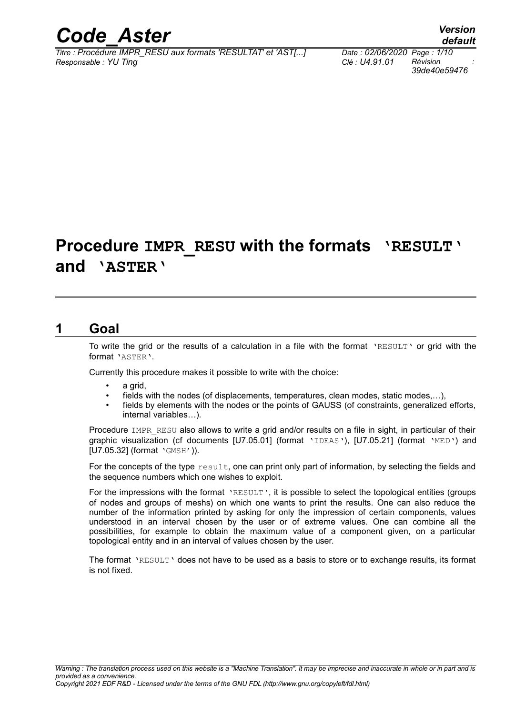

*Titre : Procédure IMPR\_RESU aux formats 'RESULTAT' et 'AST[...] Date : 02/06/2020 Page : 1/10 Responsable : YU Ting Clé : U4.91.01 Révision :*

*39de40e59476*

## **Procedure IMPR\_RESU with the formats 'RESULT' and 'ASTER'**

### **1 Goal**

To write the grid or the results of a calculation in a file with the format 'RESULT' or grid with the format 'ASTER'.

Currently this procedure makes it possible to write with the choice:

- a grid.
- fields with the nodes (of displacements, temperatures, clean modes, static modes,...),
- fields by elements with the nodes or the points of GAUSS (of constraints, generalized efforts, internal variables…).

Procedure IMPR\_RESU also allows to write a grid and/or results on a file in sight, in particular of their graphic visualization (cf documents [U7.05.01] (format 'IDEAS'), [U7.05.21] (format 'MED') and [U7.05.32] (format 'GMSH')).

For the concepts of the type  $result$ , one can print only part of information, by selecting the fields and the sequence numbers which one wishes to exploit.

For the impressions with the format 'RESULT', it is possible to select the topological entities (groups of nodes and groups of meshs) on which one wants to print the results. One can also reduce the number of the information printed by asking for only the impression of certain components, values understood in an interval chosen by the user or of extreme values. One can combine all the possibilities, for example to obtain the maximum value of a component given, on a particular topological entity and in an interval of values chosen by the user.

The format 'RESULT' does not have to be used as a basis to store or to exchange results, its format is not fixed.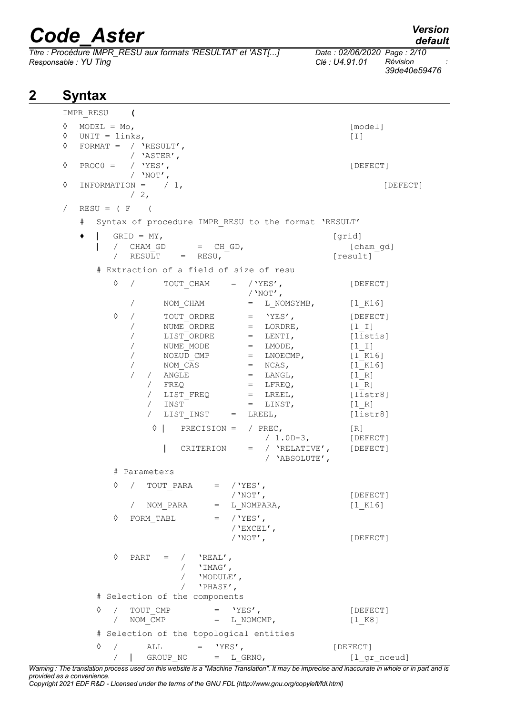*Titre : Procédure IMPR\_RESU aux formats 'RESULTAT' et 'AST[...] Date : 02/06/2020 Page : 2/10 Responsable : YU Ting* 

*39de40e59476*

| 2 | <b>Syntax</b> |                                                                                                                                                                                                                                                                                                                                                                                                                                                                                                                                                                       |                                                                                                                                                                                   |  |  |  |  |
|---|---------------|-----------------------------------------------------------------------------------------------------------------------------------------------------------------------------------------------------------------------------------------------------------------------------------------------------------------------------------------------------------------------------------------------------------------------------------------------------------------------------------------------------------------------------------------------------------------------|-----------------------------------------------------------------------------------------------------------------------------------------------------------------------------------|--|--|--|--|
|   |               | IMPR RESU (                                                                                                                                                                                                                                                                                                                                                                                                                                                                                                                                                           |                                                                                                                                                                                   |  |  |  |  |
|   | ♦<br>♦        | MODEL = $Mo$ ,<br>$\Diamond$ UNIT = links,<br>FORMAT = $/$ 'RESULT',                                                                                                                                                                                                                                                                                                                                                                                                                                                                                                  | [model]<br>[T]                                                                                                                                                                    |  |  |  |  |
|   |               | / 'ASTER',                                                                                                                                                                                                                                                                                                                                                                                                                                                                                                                                                            |                                                                                                                                                                                   |  |  |  |  |
|   | $\Diamond$    | $PROCO =$<br>/ $YES'$ ,<br>/ $'NOT'$ ,                                                                                                                                                                                                                                                                                                                                                                                                                                                                                                                                | [DEFECT]                                                                                                                                                                          |  |  |  |  |
|   | ♦             | INFORMATION = $/ 1,$<br>$\frac{2}{2}$                                                                                                                                                                                                                                                                                                                                                                                                                                                                                                                                 | [DEFECT]                                                                                                                                                                          |  |  |  |  |
|   | $\sqrt{2}$    | $RESU = (F ($                                                                                                                                                                                                                                                                                                                                                                                                                                                                                                                                                         |                                                                                                                                                                                   |  |  |  |  |
|   | #             | Syntax of procedure IMPR RESU to the format 'RESULT'                                                                                                                                                                                                                                                                                                                                                                                                                                                                                                                  |                                                                                                                                                                                   |  |  |  |  |
|   | ٠             | $GRID = MY,$<br>/ CHAM GD<br>$=$ CH GD,<br>/ $RESULT$ = $RESU$ ,                                                                                                                                                                                                                                                                                                                                                                                                                                                                                                      | [grid]<br>[cham gd]<br>[result]                                                                                                                                                   |  |  |  |  |
|   |               | # Extraction of a field of size of resu                                                                                                                                                                                                                                                                                                                                                                                                                                                                                                                               |                                                                                                                                                                                   |  |  |  |  |
|   |               | ♦<br>TOUT CHAM = $/$ 'YES',<br>/ $'$ NOT $'$ ,                                                                                                                                                                                                                                                                                                                                                                                                                                                                                                                        | [DEFECT]                                                                                                                                                                          |  |  |  |  |
|   |               | $=$ L NOMSYMB, $[1 K16]$<br>NOM CHAM<br>$\sqrt{2}$                                                                                                                                                                                                                                                                                                                                                                                                                                                                                                                    |                                                                                                                                                                                   |  |  |  |  |
|   |               | ♦<br>$=$ 'YES',<br>TOUT ORDRE<br>$=$ LORDRE,<br>NUME ORDRE<br>$=$ LENTI,<br>LIST ORDRE<br>$=$ LMODE,<br>NUME MODE<br>NOEUD CMP $=$ LNOECMP,<br>$=$ NCAS,<br>NOM CAS<br>ANGLE<br>$=$ LANGL,<br>/ FREQ<br>$=$ LFREQ,<br>LIST FREQ<br>$=$ LREEL,<br>INST<br>$=$ LINST,<br>$\sqrt{2}$<br>LIST INST<br>$=$ LREEL,<br>$\lozenge$  <br>PRECISION = $/$ PREC,<br>$/ 1.0D-3,$<br>/ $'RELATIVE'$ ,<br>CRITERION<br>$=$<br>/ 'ABSOLUTE',<br># Parameters<br>$\Diamond$ / TOUT PARA = /'YES',<br>/ $'NOT'$ ,<br>/ NOM PARA $=$ L NOMPARA,<br>$\Diamond$ FORM TABL<br>$=$ / 'YES', | [DEFECT]<br>$[1  I]$<br>[listis]<br>$[1  I]$<br>[1 K16]<br>[1 K16]<br>[1 R]<br>[1 R]<br>[liststr8]<br>$[1 R]$<br>[liststr8]<br>[R]<br>[DEFECT]<br>[DEFECT]<br>[DEFECT]<br>[1 K16] |  |  |  |  |
|   |               | / 'EXCEL',<br>/ 'NOT',                                                                                                                                                                                                                                                                                                                                                                                                                                                                                                                                                | [DEFECT]                                                                                                                                                                          |  |  |  |  |
|   |               | $\lozenge \quad \text{PART} \quad = \quad / \quad \text{'REAL'},$<br>/ $'$ $'$ $IMAG'$ ,<br>/ $'$ MODULE',<br>/ $'$ PHASE',<br># Selection of the components                                                                                                                                                                                                                                                                                                                                                                                                          |                                                                                                                                                                                   |  |  |  |  |
|   |               | ♦<br>$\begin{array}{ccc} \text{TOUT\_CMP} & = & \text{YES}\text{'}\text{'}\\ \text{NOM\_CMP} & = & \text{L\_NOMCMP}\text{'} \end{array}$<br>$\sqrt{2}$                                                                                                                                                                                                                                                                                                                                                                                                                | [DEFECT]                                                                                                                                                                          |  |  |  |  |
|   |               | $\sqrt{2}$                                                                                                                                                                                                                                                                                                                                                                                                                                                                                                                                                            | [1 K8]                                                                                                                                                                            |  |  |  |  |
|   |               | # Selection of the topological entities                                                                                                                                                                                                                                                                                                                                                                                                                                                                                                                               |                                                                                                                                                                                   |  |  |  |  |
|   |               | $\Diamond$ / ALL = 'YES',<br>/   GROUP_NO<br>$=$ L GRNO,                                                                                                                                                                                                                                                                                                                                                                                                                                                                                                              | [DEFECT]<br>[1 gr noeud]                                                                                                                                                          |  |  |  |  |

*Warning : The translation process used on this website is a "Machine Translation". It may be imprecise and inaccurate in whole or in part and is provided as a convenience.*

*Copyright 2021 EDF R&D - Licensed under the terms of the GNU FDL (http://www.gnu.org/copyleft/fdl.html)*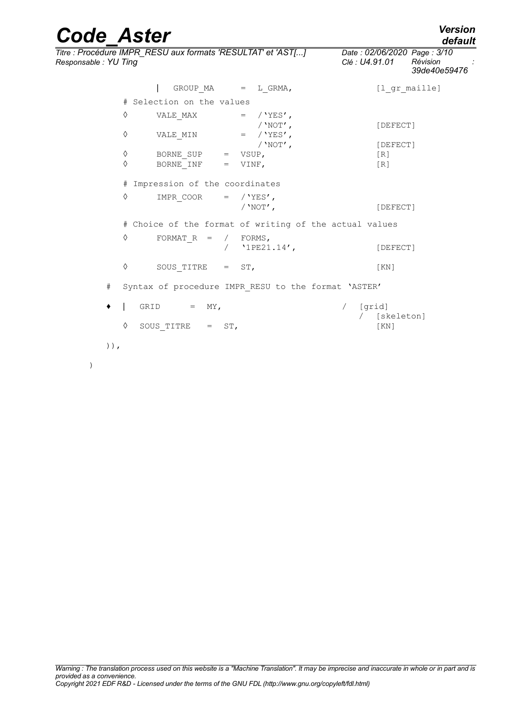| <b>Code Aster</b>    |                                                              |            |                                                        |                                    |                 | <b>Version</b><br>default                               |
|----------------------|--------------------------------------------------------------|------------|--------------------------------------------------------|------------------------------------|-----------------|---------------------------------------------------------|
| Responsable: YU Ting | Titre : Procédure IMPR_RESU aux formats 'RESULTAT' et 'AST[] |            |                                                        | Clé : U4.91.01                     |                 | Date: 02/06/2020 Page: 3/10<br>Révision<br>39de40e59476 |
|                      |                                                              |            | GROUP $MA$ = $L_GRMA$ ,                                |                                    | [1 gr maille]   |                                                         |
|                      | # Selection on the values                                    |            |                                                        |                                    |                 |                                                         |
| ♦                    | VALE MAX                                                     |            | $=$ / 'YES',<br>/ $'NOT'$ ,                            |                                    | [DEFECT]        |                                                         |
| ♦                    | VALE MIN                                                     |            | $=$ / 'YES',                                           |                                    |                 |                                                         |
| $\Diamond$           | BORNE SUP                                                    |            | / $'NOT'$ ,<br>$=$ VSUP,                               |                                    | [DEFECT]<br>[R] |                                                         |
| ♦                    | BORNE INF                                                    | $=$        | VINF,                                                  |                                    | [R]             |                                                         |
|                      | # Impression of the coordinates                              |            |                                                        |                                    |                 |                                                         |
| ♦                    | IMPR COOR                                                    |            | $=$ / $YES'$ ,<br>/ $'NOT'$ ,                          |                                    | [DEFECT]        |                                                         |
|                      |                                                              |            | # Choice of the format of writing of the actual values |                                    |                 |                                                         |
| ♦                    | FORMAT $R =$                                                 | $\sqrt{2}$ | / FORMS,<br>$'1PE21.14'$ ,                             |                                    | [DEFECT]        |                                                         |
| ♦                    | SOUS TITRE $=$ ST,                                           |            |                                                        |                                    | KN              |                                                         |
| #                    |                                                              |            | Syntax of procedure IMPR RESU to the format 'ASTER'    |                                    |                 |                                                         |
|                      | GRID<br>MY,<br>$=$                                           |            |                                                        | [grid]<br>$\sqrt{2}$<br>$\sqrt{2}$ | [skeleton]      |                                                         |
| ♦                    | SOUS TITRE $=$ ST,                                           |            |                                                        |                                    | [KN]            |                                                         |
| $)$ ),               |                                                              |            |                                                        |                                    |                 |                                                         |
| $\lambda$            |                                                              |            |                                                        |                                    |                 |                                                         |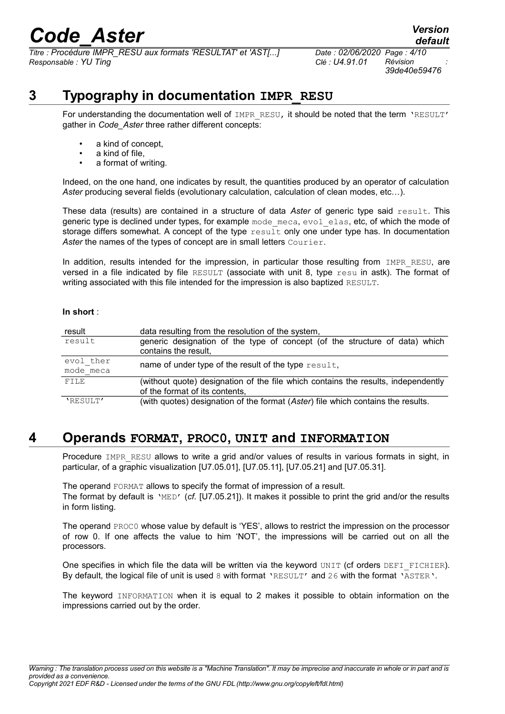*Titre : Procédure IMPR\_RESU aux formats 'RESULTAT' et 'AST[...] Date : 02/06/2020 Page : 4/10 Responsable : YU Ting Clé : U4.91.01 Révision :*

*39de40e59476*

*default*

## **3 Typography in documentation IMPR\_RESU**

For understanding the documentation well of IMPR RESU, it should be noted that the term 'RESULT' gather in *Code\_Aster* three rather different concepts:

- a kind of concept,
- a kind of file,
- a format of writing.

Indeed, on the one hand, one indicates by result, the quantities produced by an operator of calculation *Aster* producing several fields (evolutionary calculation, calculation of clean modes, etc…).

These data (results) are contained in a structure of data *Aster* of generic type said result. This generic type is declined under types, for example mode meca, evol elas, etc, of which the mode of storage differs somewhat. A concept of the type result only one under type has. In documentation Aster the names of the types of concept are in small letters Courier.

In addition, results intended for the impression, in particular those resulting from IMPR RESU, are versed in a file indicated by file RESULT (associate with unit 8, type resu in astk). The format of writing associated with this file intended for the impression is also baptized RESULT.

#### **In short** :

| result                 | data resulting from the resolution of the system,                                                                   |  |  |  |  |
|------------------------|---------------------------------------------------------------------------------------------------------------------|--|--|--|--|
| result                 | generic designation of the type of concept (of the structure of data) which<br>contains the result,                 |  |  |  |  |
| evol ther<br>mode meca | name of under type of the result of the type result,                                                                |  |  |  |  |
| FILE                   | (without quote) designation of the file which contains the results, independently<br>of the format of its contents, |  |  |  |  |
| 'RESULT'               | (with quotes) designation of the format (Aster) file which contains the results.                                    |  |  |  |  |

### **4 Operands FORMAT, PROC0, UNIT and INFORMATION**

Procedure IMPR RESU allows to write a grid and/or values of results in various formats in sight, in particular, of a graphic visualization [U7.05.01], [U7.05.11], [U7.05.21] and [U7.05.31].

The operand FORMAT allows to specify the format of impression of a result. The format by default is 'MED' (*cf.* [U7.05.21]). It makes it possible to print the grid and/or the results in form listing.

The operand PROC0 whose value by default is 'YES', allows to restrict the impression on the processor of row 0. If one affects the value to him 'NOT', the impressions will be carried out on all the processors.

One specifies in which file the data will be written via the keyword UNIT (cf orders DEFI\_FICHIER). By default, the logical file of unit is used 8 with format 'RESULT' and 26 with the format 'ASTER'.

The keyword INFORMATION when it is equal to 2 makes it possible to obtain information on the impressions carried out by the order.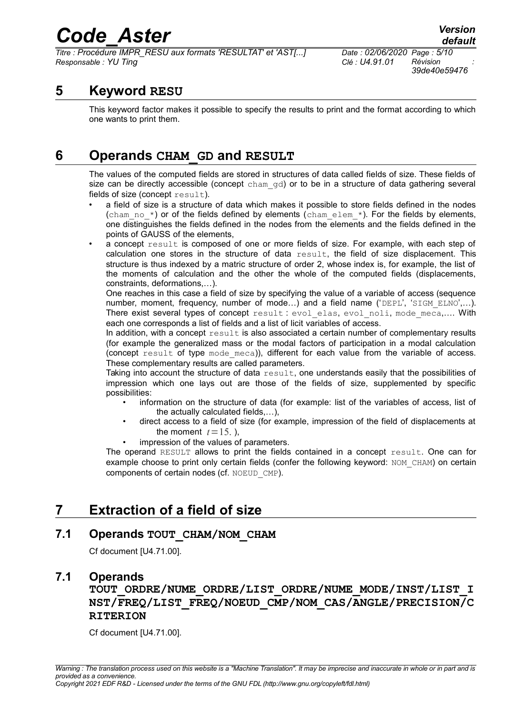*Titre : Procédure IMPR\_RESU aux formats 'RESULTAT' et 'AST[...] Date : 02/06/2020 Page : 5/10 Responsable : YU Ting Clé : U4.91.01 Révision :*

*39de40e59476*

### **5 Keyword RESU**

This keyword factor makes it possible to specify the results to print and the format according to which one wants to print them.

## **6 Operands CHAM\_GD and RESULT**

The values of the computed fields are stored in structures of data called fields of size. These fields of size can be directly accessible (concept cham qd) or to be in a structure of data gathering several fields of size (concept result).

- a field of size is a structure of data which makes it possible to store fields defined in the nodes (cham no  $*$ ) or of the fields defined by elements (cham elem  $*$ ). For the fields by elements, one distinguishes the fields defined in the nodes from the elements and the fields defined in the points of GAUSS of the elements,
- a concept result is composed of one or more fields of size. For example, with each step of calculation one stores in the structure of data result, the field of size displacement. This structure is thus indexed by a matric structure of order 2, whose index is, for example, the list of the moments of calculation and the other the whole of the computed fields (displacements, constraints, deformations,…).

One reaches in this case a field of size by specifying the value of a variable of access (sequence number, moment, frequency, number of mode...) and a field name ('DEPL', 'SIGM\_ELNO',...). There exist several types of concept result: evol elas, evol noli, mode meca,.... With each one corresponds a list of fields and a list of licit variables of access.

In addition, with a concept  $result$  is also associated a certain number of complementary results (for example the generalized mass or the modal factors of participation in a modal calculation (concept result of type mode meca)), different for each value from the variable of access. These complementary results are called parameters.

Taking into account the structure of data  $result$ , one understands easily that the possibilities of impression which one lays out are those of the fields of size, supplemented by specific possibilities:

- information on the structure of data (for example: list of the variables of access, list of the actually calculated fields,…),
- direct access to a field of size (for example, impression of the field of displacements at the moment  $t=15$ . ),
- impression of the values of parameters.

The operand RESULT allows to print the fields contained in a concept result. One can for example choose to print only certain fields (confer the following keyword: NOM\_CHAM) on certain components of certain nodes (cf. NOEUD\_CMP).

## **7 Extraction of a field of size**

#### **7.1 Operands TOUT\_CHAM/NOM\_CHAM**

Cf document [U4.71.00].

#### **7.1 Operands**

**TOUT\_ORDRE/NUME\_ORDRE/LIST\_ORDRE/NUME\_MODE/INST/LIST\_I NST/FREQ/LIST\_FREQ/NOEUD\_CMP/NOM\_CAS/ANGLE/PRECISION/C RITERION**

Cf document [U4.71.00].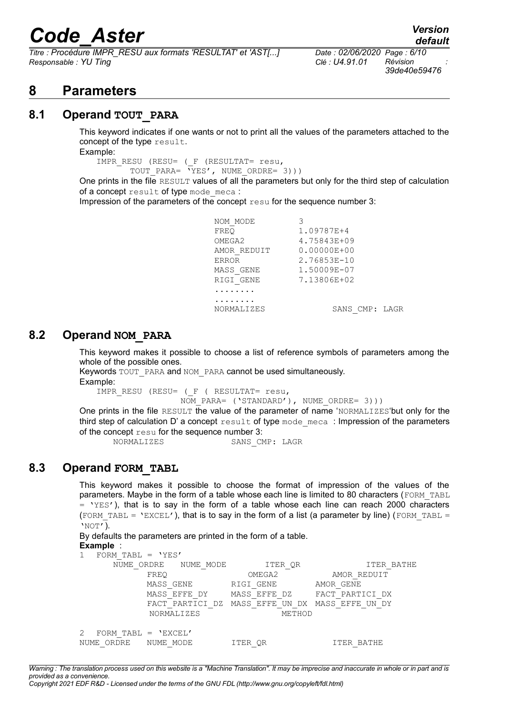*Titre : Procédure IMPR\_RESU aux formats 'RESULTAT' et 'AST[...] Date : 02/06/2020 Page : 6/10 Responsable : YU Ting Clé : U4.91.01 Révision :*

*39de40e59476*

*default*

### **8 Parameters**

#### **8.1 Operand TOUT\_PARA**

This keyword indicates if one wants or not to print all the values of the parameters attached to the concept of the type result.

Example:

IMPR\_RESU (RESU= (\_F (RESULTAT= resu, TOUT PARA= 'YES', NUME ORDRE= 3)))

One prints in the file RESULT values of all the parameters but only for the third step of calculation of a concept result of type mode meca :

Impression of the parameters of the concept resu for the sequence number 3:

NOM MODE 3 FREQ 1.09787E+4 OMEGA2 4.75843E+09 AMOR\_REDUIT 0.00000E+00 ERROR 2.76853E-10 MASS\_GENE 1.50009E-07<br>RIGI GENE 7.13806E+02 RIGI\_GENE 7.13806E+02 ........ ........ NORMALIZES SANS CMP: LAGR

#### **8.2 Operand NOM\_PARA**

This keyword makes it possible to choose a list of reference symbols of parameters among the whole of the possible ones.

```
Keywords TOUT PARA and NOM PARA cannot be used simultaneously.
Example:
```
IMPR\_RESU (RESU= (\_F ( RESULTAT= resu,

NOM PARA= ('STANDARD'), NUME ORDRE= 3)))

One prints in the file RESULT the value of the parameter of name 'NORMALIZES'but only for the third step of calculation D' a concept result of type mode meca : Impression of the parameters of the concept resu for the sequence number 3:

NORMALIZES SANS CMP: LAGR

#### **8.3 Operand FORM\_TABL**

This keyword makes it possible to choose the format of impression of the values of the parameters. Maybe in the form of a table whose each line is limited to 80 characters (FORM\_TABL  $=$  'YES'), that is to say in the form of a table whose each line can reach 2000 characters (FORM TABL = 'EXCEL'), that is to say in the form of a list (a parameter by line) (FORM TABL = 'NOT').

By defaults the parameters are printed in the form of a table. **Example** :

|            | FORM TABL = $'YES'$   |           |                   |           |              |                 |                 |             |  |
|------------|-----------------------|-----------|-------------------|-----------|--------------|-----------------|-----------------|-------------|--|
| NUME ORDRE |                       | NUME MODE |                   | ITER QR   |              | ITER BATHE      |                 |             |  |
|            |                       | FREO      |                   |           | OMEGA2       |                 | AMOR REDUIT     |             |  |
|            |                       | MASS GENE |                   | RIGI GENE |              |                 | AMOR GENE       |             |  |
|            |                       |           | MASS EFFE DY      |           | MASS EFFE DZ |                 | FACT PARTICI DX |             |  |
|            |                       |           | FACT PARTICI DZ   |           |              | MASS EFFE UN DX | MASS EFFE       | – DY<br>UN. |  |
|            |                       |           | <b>NORMALIZES</b> |           |              | METHOD          |                 |             |  |
|            |                       |           |                   |           |              |                 |                 |             |  |
| 2          | FORM TABL = $'EXCEL'$ |           |                   |           |              |                 |                 |             |  |
| NUME       | ORDRE                 | NUME MODE |                   | ITER OR   |              |                 | TTER BATHE      |             |  |

*Warning : The translation process used on this website is a "Machine Translation". It may be imprecise and inaccurate in whole or in part and is provided as a convenience. Copyright 2021 EDF R&D - Licensed under the terms of the GNU FDL (http://www.gnu.org/copyleft/fdl.html)*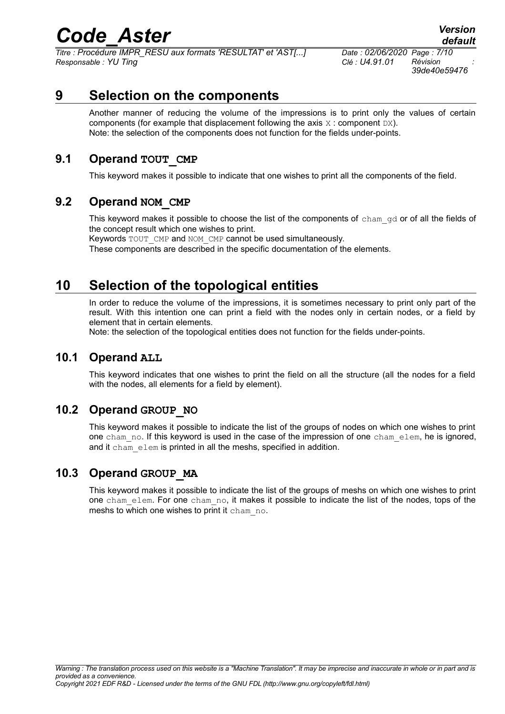*Titre : Procédure IMPR\_RESU aux formats 'RESULTAT' et 'AST[...] Date : 02/06/2020 Page : 7/10 Responsable : YU Ting Clé : U4.91.01 Révision :*

*39de40e59476*

## **9 Selection on the components**

Another manner of reducing the volume of the impressions is to print only the values of certain components (for example that displacement following the axis  $X :$  component  $DX$ ). Note: the selection of the components does not function for the fields under-points.

#### **9.1 Operand TOUT\_CMP**

This keyword makes it possible to indicate that one wishes to print all the components of the field.

#### **9.2 Operand NOM\_CMP**

This keyword makes it possible to choose the list of the components of cham gd or of all the fields of the concept result which one wishes to print.

Keywords TOUT CMP and NOM CMP cannot be used simultaneously.

These components are described in the specific documentation of the elements.

## **10 Selection of the topological entities**

In order to reduce the volume of the impressions, it is sometimes necessary to print only part of the result. With this intention one can print a field with the nodes only in certain nodes, or a field by element that in certain elements.

Note: the selection of the topological entities does not function for the fields under-points.

#### **10.1 Operand ALL**

This keyword indicates that one wishes to print the field on all the structure (all the nodes for a field with the nodes, all elements for a field by element).

#### **10.2 Operand GROUP\_NO**

This keyword makes it possible to indicate the list of the groups of nodes on which one wishes to print one cham\_no. If this keyword is used in the case of the impression of one cham\_elem, he is ignored, and it cham elem is printed in all the meshs, specified in addition.

#### **10.3 Operand GROUP\_MA**

This keyword makes it possible to indicate the list of the groups of meshs on which one wishes to print one cham\_elem. For one cham\_no, it makes it possible to indicate the list of the nodes, tops of the meshs to which one wishes to print it cham no.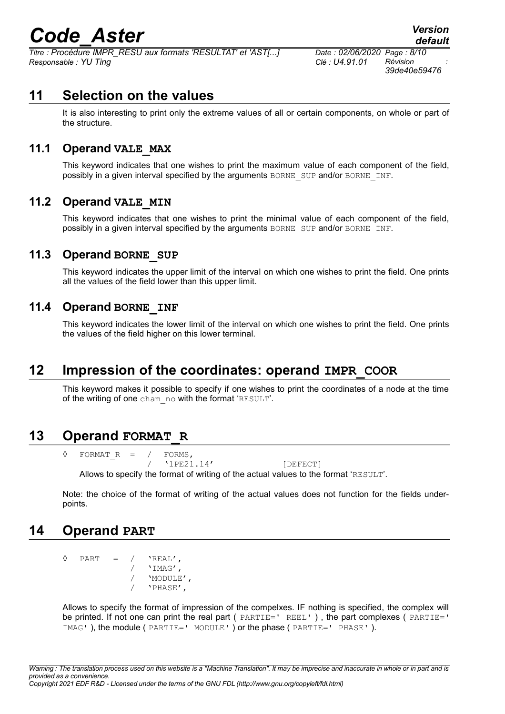*Titre : Procédure IMPR\_RESU aux formats 'RESULTAT' et 'AST[...] Date : 02/06/2020 Page : 8/10 Responsable : YU Ting Clé : U4.91.01 Révision :*

*39de40e59476*

*default*

## **11 Selection on the values**

It is also interesting to print only the extreme values of all or certain components, on whole or part of the structure.

#### **11.1 Operand VALE\_MAX**

This keyword indicates that one wishes to print the maximum value of each component of the field, possibly in a given interval specified by the arguments BORNE\_SUP and/or BORNE\_INF.

#### **11.2 Operand VALE\_MIN**

This keyword indicates that one wishes to print the minimal value of each component of the field, possibly in a given interval specified by the arguments BORNE\_SUP and/or BORNE\_INF.

### **11.3 Operand BORNE\_SUP**

This keyword indicates the upper limit of the interval on which one wishes to print the field. One prints all the values of the field lower than this upper limit.

#### **11.4 Operand BORNE\_INF**

This keyword indicates the lower limit of the interval on which one wishes to print the field. One prints the values of the field higher on this lower terminal.

### **12 Impression of the coordinates: operand IMPR\_COOR**

This keyword makes it possible to specify if one wishes to print the coordinates of a node at the time of the writing of one cham\_no with the format 'RESULT'.

### **13 Operand FORMAT\_R**

 $\Diamond$  FORMATR = / FORMS, / '1PE21.14' [DEFECT] Allows to specify the format of writing of the actual values to the format 'RESULT'.

Note: the choice of the format of writing of the actual values does not function for the fields underpoints.

### **14 Operand PART**

```
\Diamond PART = / 'REAL',
                   / 'IMAG',
               / 'MODULE',
                   / 'PHASE',
```
Allows to specify the format of impression of the compelxes. IF nothing is specified, the complex will be printed. If not one can print the real part ( PARTIE=' REEL' ) , the part complexes ( PARTIE=' IMAG' ), the module ( PARTIE=' MODULE' ) or the phase ( PARTIE=' PHASE' ).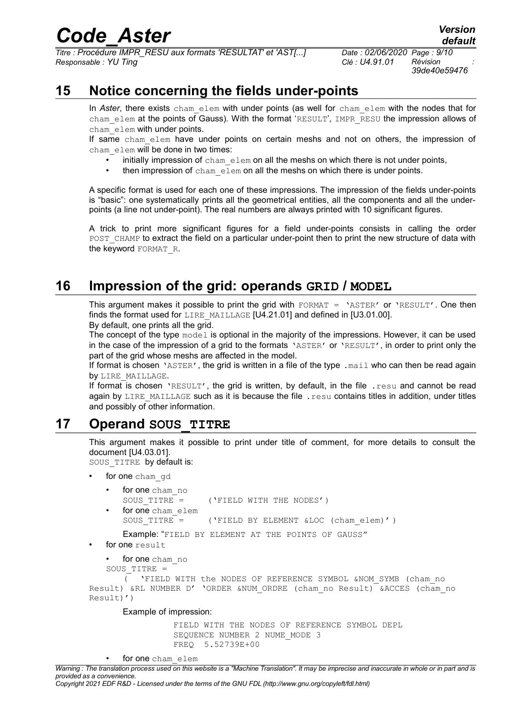*Titre : Procédure IMPR\_RESU aux formats 'RESULTAT' et 'AST[...] Date : 02/06/2020 Page : 9/10 Responsable : YU Ting Clé : U4.91.01 Révision :*

*39de40e59476*

*default*

## **15 Notice concerning the fields under-points**

In *Aster*, there exists cham elem with under points (as well for cham elem with the nodes that for cham elem at the points of Gauss). With the format 'RESULT', IMPR RESU the impression allows of cham\_elem with under points.

If same cham elem have under points on certain meshs and not on others, the impression of cham elem will be done in two times:

- initially impression of  $cham$  elem on all the meshs on which there is not under points,
- then impression of cham elem on all the meshs on which there is under points.

A specific format is used for each one of these impressions. The impression of the fields under-points is "basic": one systematically prints all the geometrical entities, all the components and all the underpoints (a line not under-point). The real numbers are always printed with 10 significant figures.

A trick to print more significant figures for a field under-points consists in calling the order POST\_CHAMP to extract the field on a particular under-point then to print the new structure of data with the keyword FORMAT R.

## **16 Impression of the grid: operands GRID / MODEL**

This argument makes it possible to print the grid with FORMAT = 'ASTER' or 'RESULT'. One then finds the format used for LIRE\_MAILLAGE [U4.21.01] and defined in [U3.01.00]. By default, one prints all the grid.

The concept of the type model is optional in the majority of the impressions. However, it can be used in the case of the impression of a grid to the formats 'ASTER' or 'RESULT', in order to print only the part of the grid whose meshs are affected in the model.

If format is chosen 'ASTER', the grid is written in a file of the type .mail who can then be read again by LIRE MAILLAGE.

If format is chosen 'RESULT', the grid is written, by default, in the file . resu and cannot be read again by LIRE\_MAILLAGE such as it is because the file . resu contains titles in addition, under titles and possibly of other information.

### **17 Operand SOUS\_TITRE**

This argument makes it possible to print under title of comment, for more details to consult the document [U4.03.01].

SOUS TITRE by default is:

for one cham gd

```
for one cham no
SOUS TITRE = ('FIELD WITH THE NODES')
for one cham_elem
SOUS TITRE = ( 'FIELD BY ELEMENT @LOC (chan elem) ' )
```
Example: "FIELD BY ELEMENT AT THE POINTS OF GAUSS"

- for one result
	- for one cham no

SOUS\_TITRE =

```
\overline{C} 'FIELD WITH the NODES OF REFERENCE SYMBOL &NOM SYMB (cham no
Result) &RL NUMBER D' 'ORDER &NUM_ORDRE (cham_no Result) \overline{a}ACCES (cham_no
Result)')
```
Example of impression:

FIELD WITH THE NODES OF REFERENCE SYMBOL DEPL SEQUENCE NUMBER 2 NUME MODE 3 FREQ 5.52739E+00

*Copyright 2021 EDF R&D - Licensed under the terms of the GNU FDL (http://www.gnu.org/copyleft/fdl.html)*

for one cham\_elem

*Warning : The translation process used on this website is a "Machine Translation". It may be imprecise and inaccurate in whole or in part and is provided as a convenience.*